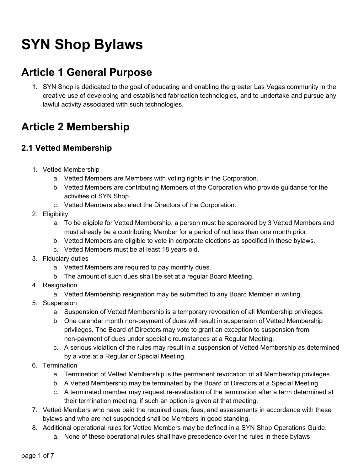# **SYN Shop Bylaws**

### **Article 1 General Purpose**

1. SYN Shop is dedicated to the goal of educating and enabling the greater Las Vegas community in the creative use of developing and established fabrication technologies, and to undertake and pursue any lawful activity associated with such technologies.

### **Article 2 Membership**

#### **2.1 Vetted Membership**

- 1. Vetted Membership
	- a. Vetted Members are Members with voting rights in the Corporation.
	- b. Vetted Members are contributing Members of the Corporation who provide guidance for the activities of SYN Shop.
	- c. Vetted Members also elect the Directors of the Corporation.
- 2. Eligibility
	- a. To be eligible for Vetted Membership, a person must be sponsored by 3 Vetted Members and must already be a contributing Member for a period of not less than one month prior.
	- b. Vetted Members are eligible to vote in corporate elections as specified in these bylaws.
	- c. Vetted Members must be at least 18 years old.
- 3. Fiduciary duties
	- a. Vetted Members are required to pay monthly dues.
	- b. The amount of such dues shall be set at a regular Board Meeting.
- 4. Resignation
	- a. Vetted Membership resignation may be submitted to any Board Member in writing.
- 5. Suspension
	- a. Suspension of Vetted Membership is a temporary revocation of all Membership privileges.
	- b. One calendar month non-payment of dues will result in suspension of Vetted Membership privileges. The Board of Directors may vote to grant an exception to suspension from non-payment of dues under special circumstances at a Regular Meeting.
	- c. A serious violation of the rules may result in a suspension of Vetted Membership as determined by a vote at a Regular or Special Meeting.
- 6. Termination
	- a. Termination of Vetted Membership is the permanent revocation of all Membership privileges.
	- b. A Vetted Membership may be terminated by the Board of Directors at a Special Meeting.
	- c. A terminated member may request re-evaluation of the termination after a term determined at their termination meeting, if such an option is given at that meeting.
- 7. Vetted Members who have paid the required dues, fees, and assessments in accordance with these bylaws and who are not suspended shall be Members in good standing.
- 8. Additional operational rules for Vetted Members may be defined in a SYN Shop Operations Guide.
	- a. None of these operational rules shall have precedence over the rules in these bylaws.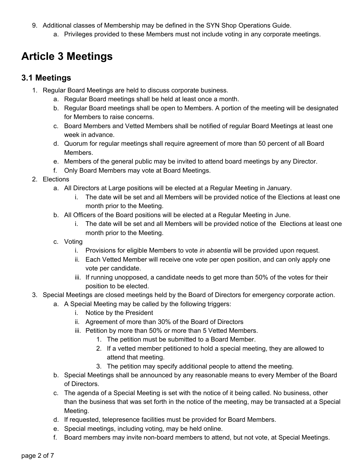- 9. Additional classes of Membership may be defined in the SYN Shop Operations Guide.
	- a. Privileges provided to these Members must not include voting in any corporate meetings.

### **Article 3 Meetings**

#### **3.1 Meetings**

- 1. Regular Board Meetings are held to discuss corporate business.
	- a. Regular Board meetings shall be held at least once a month.
	- b. Regular Board meetings shall be open to Members. A portion of the meeting will be designated for Members to raise concerns.
	- c. Board Members and Vetted Members shall be notified of regular Board Meetings at least one week in advance.
	- d. Quorum for regular meetings shall require agreement of more than 50 percent of all Board Members.
	- e. Members of the general public may be invited to attend board meetings by any Director.
	- f. Only Board Members may vote at Board Meetings.
- 2. Elections
	- a. All Directors at Large positions will be elected at a Regular Meeting in January.
		- i. The date will be set and all Members will be provided notice of the Elections at least one month prior to the Meeting.
	- b. All Officers of the Board positions will be elected at a Regular Meeting in June.
		- i. The date will be set and all Members will be provided notice of the Elections at least one month prior to the Meeting.
	- c. Voting
		- i. Provisions for eligible Members to vote *in absentia* will be provided upon request.
		- ii. Each Vetted Member will receive one vote per open position, and can only apply one vote per candidate.
		- iii. If running unopposed, a candidate needs to get more than 50% of the votes for their position to be elected.
- 3. Special Meetings are closed meetings held by the Board of Directors for emergency corporate action.
	- a. A Special Meeting may be called by the following triggers:
		- i. Notice by the President
		- ii. Agreement of more than 30% of the Board of Directors
		- iii. Petition by more than 50% or more than 5 Vetted Members.
			- 1. The petition must be submitted to a Board Member.
			- 2. If a vetted member petitioned to hold a special meeting, they are allowed to attend that meeting.
			- 3. The petition may specify additional people to attend the meeting.
		- b. Special Meetings shall be announced by any reasonable means to every Member of the Board of Directors.
		- c. The agenda of a Special Meeting is set with the notice of it being called. No business, other than the business that was set forth in the notice of the meeting, may be transacted at a Special Meeting.
		- d. If requested, telepresence facilities must be provided for Board Members.
		- e. Special meetings, including voting, may be held online.
		- f. Board members may invite non-board members to attend, but not vote, at Special Meetings.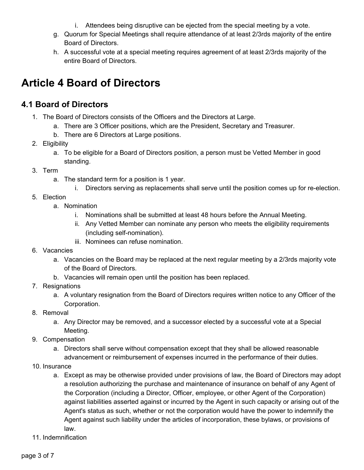- i. Attendees being disruptive can be ejected from the special meeting by a vote.
- g. Quorum for Special Meetings shall require attendance of at least 2/3rds majority of the entire Board of Directors.
- h. A successful vote at a special meeting requires agreement of at least 2/3rds majority of the entire Board of Directors.

### **Article 4 Board of Directors**

#### **4.1 Board of Directors**

- 1. The Board of Directors consists of the Officers and the Directors at Large.
	- a. There are 3 Officer positions, which are the President, Secretary and Treasurer.
	- b. There are 6 Directors at Large positions.
- 2. Eligibility
	- a. To be eligible for a Board of Directors position, a person must be Vetted Member in good standing.
- 3. Term
	- a. The standard term for a position is 1 year.
		- i. Directors serving as replacements shall serve until the position comes up for re-election.
- 5. Election
	- a. Nomination
		- i. Nominations shall be submitted at least 48 hours before the Annual Meeting.
		- ii. Any Vetted Member can nominate any person who meets the eligibility requirements (including self-nomination).
		- iii. Nominees can refuse nomination.
- 6. Vacancies
	- a. Vacancies on the Board may be replaced at the next regular meeting by a 2/3rds majority vote of the Board of Directors.
	- b. Vacancies will remain open until the position has been replaced.
- 7. Resignations
	- a. A voluntary resignation from the Board of Directors requires written notice to any Officer of the Corporation.
- 8. Removal
	- a. Any Director may be removed, and a successor elected by a successful vote at a Special Meeting.
- 9. Compensation
	- a. Directors shall serve without compensation except that they shall be allowed reasonable advancement or reimbursement of expenses incurred in the performance of their duties.
- 10. Insurance
	- a. Except as may be otherwise provided under provisions of law, the Board of Directors may adopt a resolution authorizing the purchase and maintenance of insurance on behalf of any Agent of the Corporation (including a Director, Officer, employee, or other Agent of the Corporation) against liabilities asserted against or incurred by the Agent in such capacity or arising out of the Agent's status as such, whether or not the corporation would have the power to indemnify the Agent against such liability under the articles of incorporation, these bylaws, or provisions of law.
- 11. Indemnification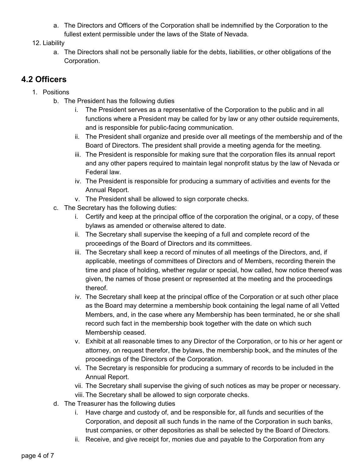- a. The Directors and Officers of the Corporation shall be indemnified by the Corporation to the fullest extent permissible under the laws of the State of Nevada.
- 12. Liability
	- a. The Directors shall not be personally liable for the debts, liabilities, or other obligations of the Corporation.

#### **4.2 Officers**

- 1. Positions
	- b. The President has the following duties
		- i. The President serves as a representative of the Corporation to the public and in all functions where a President may be called for by law or any other outside requirements, and is responsible for public-facing communication.
		- ii. The President shall organize and preside over all meetings of the membership and of the Board of Directors. The president shall provide a meeting agenda for the meeting.
		- iii. The President is responsible for making sure that the corporation files its annual report and any other papers required to maintain legal nonprofit status by the law of Nevada or Federal law.
		- iv. The President is responsible for producing a summary of activities and events for the Annual Report.
		- v. The President shall be allowed to sign corporate checks.
	- c. The Secretary has the following duties:
		- i. Certify and keep at the principal office of the corporation the original, or a copy, of these bylaws as amended or otherwise altered to date.
		- ii. The Secretary shall supervise the keeping of a full and complete record of the proceedings of the Board of Directors and its committees.
		- iii. The Secretary shall keep a record of minutes of all meetings of the Directors, and, if applicable, meetings of committees of Directors and of Members, recording therein the time and place of holding, whether regular or special, how called, how notice thereof was given, the names of those present or represented at the meeting and the proceedings thereof.
		- iv. The Secretary shall keep at the principal office of the Corporation or at such other place as the Board may determine a membership book containing the legal name of all Vetted Members, and, in the case where any Membership has been terminated, he or she shall record such fact in the membership book together with the date on which such Membership ceased.
		- v. Exhibit at all reasonable times to any Director of the Corporation, or to his or her agent or attorney, on request therefor, the bylaws, the membership book, and the minutes of the proceedings of the Directors of the Corporation.
		- vi. The Secretary is responsible for producing a summary of records to be included in the Annual Report.
		- vii. The Secretary shall supervise the giving of such notices as may be proper or necessary. viii. The Secretary shall be allowed to sign corporate checks.
	- d. The Treasurer has the following duties
		- i. Have charge and custody of, and be responsible for, all funds and securities of the Corporation, and deposit all such funds in the name of the Corporation in such banks, trust companies, or other depositories as shall be selected by the Board of Directors.
		- ii. Receive, and give receipt for, monies due and payable to the Corporation from any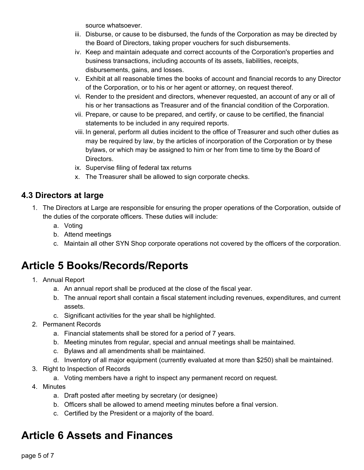source whatsoever.

- iii. Disburse, or cause to be disbursed, the funds of the Corporation as may be directed by the Board of Directors, taking proper vouchers for such disbursements.
- iv. Keep and maintain adequate and correct accounts of the Corporation's properties and business transactions, including accounts of its assets, liabilities, receipts, disbursements, gains, and losses.
- v. Exhibit at all reasonable times the books of account and financial records to any Director of the Corporation, or to his or her agent or attorney, on request thereof.
- vi. Render to the president and directors, whenever requested, an account of any or all of his or her transactions as Treasurer and of the financial condition of the Corporation.
- vii. Prepare, or cause to be prepared, and certify, or cause to be certified, the financial statements to be included in any required reports.
- viii. In general, perform all duties incident to the office of Treasurer and such other duties as may be required by law, by the articles of incorporation of the Corporation or by these bylaws, or which may be assigned to him or her from time to time by the Board of Directors.
- ix. Supervise filing of federal tax returns
- x. The Treasurer shall be allowed to sign corporate checks.

#### **4.3 Directors at large**

- 1. The Directors at Large are responsible for ensuring the proper operations of the Corporation, outside of the duties of the corporate officers. These duties will include:
	- a. Voting
	- b. Attend meetings
	- c. Maintain all other SYN Shop corporate operations not covered by the officers of the corporation.

### **Article 5 Books/Records/Reports**

- 1. Annual Report
	- a. An annual report shall be produced at the close of the fiscal year.
	- b. The annual report shall contain a fiscal statement including revenues, expenditures, and current assets.
	- c. Significant activities for the year shall be highlighted.
- 2. Permanent Records
	- a. Financial statements shall be stored for a period of 7 years.
	- b. Meeting minutes from regular, special and annual meetings shall be maintained.
	- c. Bylaws and all amendments shall be maintained.
	- d. Inventory of all major equipment (currently evaluated at more than \$250) shall be maintained.
- 3. Right to Inspection of Records
	- a. Voting members have a right to inspect any permanent record on request.
- 4. Minutes
	- a. Draft posted after meeting by secretary (or designee)
	- b. Officers shall be allowed to amend meeting minutes before a final version.
	- c. Certified by the President or a majority of the board.

## **Article 6 Assets and Finances**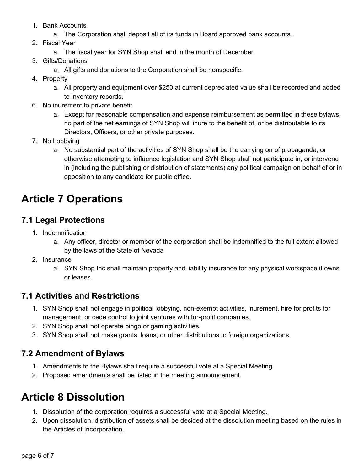- 1. Bank Accounts
	- a. The Corporation shall deposit all of its funds in Board approved bank accounts.
- 2. Fiscal Year
	- a. The fiscal year for SYN Shop shall end in the month of December.
- 3. Gifts/Donations
	- a. All gifts and donations to the Corporation shall be nonspecific.
- 4. Property
	- a. All property and equipment over \$250 at current depreciated value shall be recorded and added to inventory records.
- 6. No inurement to private benefit
	- a. Except for reasonable compensation and expense reimbursement as permitted in these bylaws, no part of the net earnings of SYN Shop will inure to the benefit of, or be distributable to its Directors, Officers, or other private purposes.
- 7. No Lobbying
	- a. No substantial part of the activities of SYN Shop shall be the carrying on of propaganda, or otherwise attempting to influence legislation and SYN Shop shall not participate in, or intervene in (including the publishing or distribution of statements) any political campaign on behalf of or in opposition to any candidate for public office.

### **Article 7 Operations**

#### **7.1 Legal Protections**

- 1. Indemnification
	- a. Any officer, director or member of the corporation shall be indemnified to the full extent allowed by the laws of the State of Nevada
- 2. Insurance
	- a. SYN Shop Inc shall maintain property and liability insurance for any physical workspace it owns or leases.

#### **7.1 Activities and Restrictions**

- 1. SYN Shop shall not engage in political lobbying, non-exempt activities, inurement, hire for profits for management, or cede control to joint ventures with for-profit companies.
- 2. SYN Shop shall not operate bingo or gaming activities.
- 3. SYN Shop shall not make grants, loans, or other distributions to foreign organizations.

#### **7.2 Amendment of Bylaws**

- 1. Amendments to the Bylaws shall require a successful vote at a Special Meeting.
- 2. Proposed amendments shall be listed in the meeting announcement.

### **Article 8 Dissolution**

- 1. Dissolution of the corporation requires a successful vote at a Special Meeting.
- 2. Upon dissolution, distribution of assets shall be decided at the dissolution meeting based on the rules in the Articles of Incorporation.